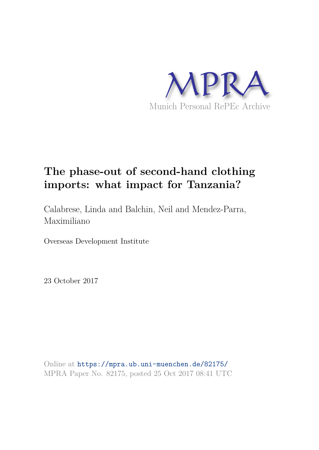

# **The phase-out of second-hand clothing imports: what impact for Tanzania?**

Calabrese, Linda and Balchin, Neil and Mendez-Parra, Maximiliano

Overseas Development Institute

23 October 2017

Online at https://mpra.ub.uni-muenchen.de/82175/ MPRA Paper No. 82175, posted 25 Oct 2017 08:41 UTC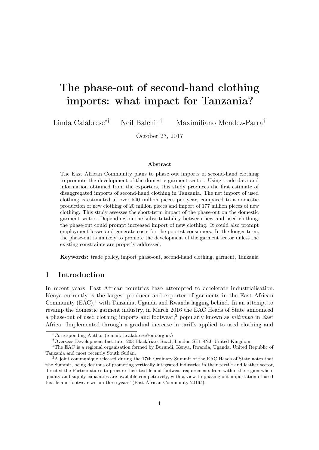# The phase-out of second-hand clothing imports: what impact for Tanzania?

Linda Calabrese∗† Neil Balchin† Maximiliano Mendez-Parra†

October 23, 2017

#### Abstract

The East African Community plans to phase out imports of second-hand clothing to promote the development of the domestic garment sector. Using trade data and information obtained from the exporters, this study produces the first estimate of disaggregated imports of second-hand clothing in Tanzania. The net import of used clothing is estimated at over 540 million pieces per year, compared to a domestic production of new clothing of 20 million pieces and import of 177 million pieces of new clothing. This study assesses the short-term impact of the phase-out on the domestic garment sector. Depending on the substitutability between new and used clothing, the phase-out could prompt increased import of new clothing. It could also prompt employment losses and generate costs for the poorest consumers. In the longer term, the phase-out is unlikely to promote the development of the garment sector unless the existing constraints are properly addressed.

Keywords: trade policy, import phase-out, second-hand clothing, garment, Tanzania

# 1 Introduction

In recent years, East African countries have attempted to accelerate industrialisation. Kenya currently is the largest producer and exporter of garments in the East African Community  $(EAC)$ , with Tanzania, Uganda and Rwanda lagging behind. In an attempt to revamp the domestic garment industry, in March 2016 the EAC Heads of State announced a phase-out of used clothing imports and footwear,<sup>2</sup> popularly known as  $m$ itumba in East Africa. Implemented through a gradual increase in tariffs applied to used clothing and

<sup>∗</sup>Corresponding Author (e-mail: l.calabrese@odi.org.uk)

<sup>†</sup>Overseas Development Institute, 203 Blackfriars Road, London SE1 8NJ, United Kingdom

<sup>&</sup>lt;sup>1</sup>The EAC is a regional organisation formed by Burundi, Kenya, Rwanda, Uganda, United Republic of Tanzania and most recently South Sudan.

<sup>&</sup>lt;sup>2</sup>A joint communique released during the 17th Ordinary Summit of the EAC Heads of State notes that 'the Summit, being desirous of promoting vertically integrated industries in their textile and leather sector, directed the Partner states to procure their textile and footwear requirements from within the region where quality and supply capacities are available competitively, with a view to phasing out importation of used textile and footwear within three years' (East African Community 2016b).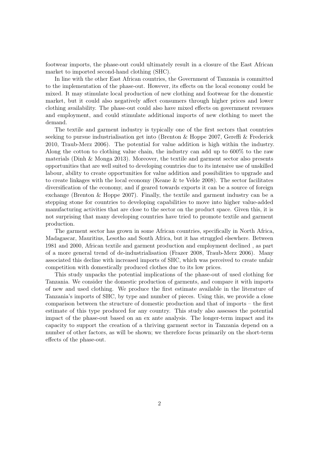footwear imports, the phase-out could ultimately result in a closure of the East African market to imported second-hand clothing (SHC).

In line with the other East African countries, the Government of Tanzania is committed to the implementation of the phase-out. However, its effects on the local economy could be mixed. It may stimulate local production of new clothing and footwear for the domestic market, but it could also negatively affect consumers through higher prices and lower clothing availability. The phase-out could also have mixed effects on government revenues and employment, and could stimulate additional imports of new clothing to meet the demand.

The textile and garment industry is typically one of the first sectors that countries seeking to pursue industrialisation get into (Brenton & Hoppe 2007, Gereffi & Frederick 2010, Traub-Merz 2006). The potential for value addition is high within the industry. Along the cotton to clothing value chain, the industry can add up to 600% to the raw materials (Dinh & Monga 2013). Moreover, the textile and garment sector also presents opportunities that are well suited to developing countries due to its intensive use of unskilled labour, ability to create opportunities for value addition and possibilities to upgrade and to create linkages with the local economy (Keane & te Velde 2008). The sector facilitates diversification of the economy, and if geared towards exports it can be a source of foreign exchange (Brenton & Hoppe 2007). Finally, the textile and garment industry can be a stepping stone for countries to developing capabilities to move into higher value-added manufacturing activities that are close to the sector on the product space. Given this, it is not surprising that many developing countries have tried to promote textile and garment production.

The garment sector has grown in some African countries, specifically in North Africa, Madagascar, Mauritius, Lesotho and South Africa, but it has struggled elsewhere. Between 1981 and 2000, African textile and garment production and employment declined , as part of a more general trend of de-industrialisation (Frazer 2008, Traub-Merz 2006). Many associated this decline with increased imports of SHC, which was perceived to create unfair competition with domestically produced clothes due to its low prices.

This study unpacks the potential implications of the phase-out of used clothing for Tanzania. We consider the domestic production of garments, and compare it with imports of new and used clothing. We produce the first estimate available in the literature of Tanzania's imports of SHC, by type and number of pieces. Using this, we provide a close comparison between the structure of domestic production and that of imports – the first estimate of this type produced for any country. This study also assesses the potential impact of the phase-out based on an ex ante analysis. The longer-term impact and its capacity to support the creation of a thriving garment sector in Tanzania depend on a number of other factors, as will be shown; we therefore focus primarily on the short-term effects of the phase-out.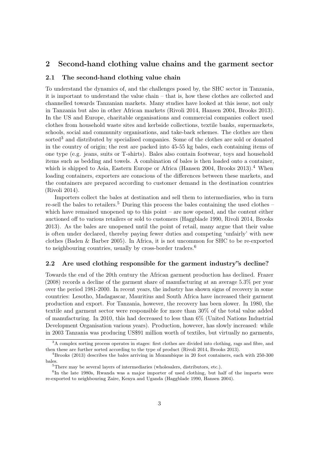# 2 Second-hand clothing value chains and the garment sector

## 2.1 The second-hand clothing value chain

To understand the dynamics of, and the challenges posed by, the SHC sector in Tanzania, it is important to understand the value chain – that is, how these clothes are collected and channelled towards Tanzanian markets. Many studies have looked at this issue, not only in Tanzania but also in other African markets (Rivoli 2014, Hansen 2004, Brooks 2013). In the US and Europe, charitable organisations and commercial companies collect used clothes from household waste sites and kerbside collections, textile banks, supermarkets, schools, social and community organisations, and take-back schemes. The clothes are then sorted<sup>3</sup> and distributed by specialised companies. Some of the clothes are sold or donated in the country of origin; the rest are packed into 45-55 kg bales, each containing items of one type (e.g. jeans, suits or T-shirts). Bales also contain footwear, toys and household items such as bedding and towels. A combination of bales is then loaded onto a container, which is shipped to Asia, Eastern Europe or Africa (Hansen 2004, Brooks 2013).<sup>4</sup> When loading containers, exporters are conscious of the differences between these markets, and the containers are prepared according to customer demand in the destination countries (Rivoli 2014).

Importers collect the bales at destination and sell them to intermediaries, who in turn re-sell the bales to retailers.<sup>5</sup> During this process the bales containing the used clothes – which have remained unopened up to this point – are now opened, and the content either auctioned off to various retailers or sold to customers (Haggblade 1990, Rivoli 2014, Brooks 2013). As the bales are unopened until the point of retail, many argue that their value is often under declared, thereby paying fewer duties and competing 'unfairly' with new clothes (Baden & Barber 2005). In Africa, it is not uncommon for SHC to be re-exported to neighbouring countries, usually by cross-border traders.<sup>6</sup>

# 2.2 Are used clothing responsible for the garment industry"s decline?

Towards the end of the 20th century the African garment production has declined. Frazer (2008) records a decline of the garment share of manufacturing at an average 5.3% per year over the period 1981-2000. In recent years, the industry has shown signs of recovery in some countries: Lesotho, Madagascar, Mauritius and South Africa have increased their garment production and export. For Tanzania, however, the recovery has been slower. In 1980, the textile and garment sector were responsible for more than 30% of the total value added of manufacturing. In 2010, this had decreased to less than 6% (United Nations Industrial Development Organisation various years). Production, however, has slowly increased: while in 2003 Tanzania was producing US\$91 million worth of textiles, but virtually no garments,

<sup>&</sup>lt;sup>3</sup>A complex sorting process operates in stages: first clothes are divided into clothing, rags and fibre, and then these are further sorted according to the type of product (Rivoli 2014, Brooks 2013).

<sup>4</sup>Brooks (2013) describes the bales arriving in Mozambique in 20 foot containers, each with 250-300 bales.

 ${}^{5}$ There may be several layers of intermediaries (wholesalers, distributors, etc.).

<sup>&</sup>lt;sup>6</sup>In the late 1980s, Rwanda was a major importer of used clothing, but half of the imports were re-exported to neighbouring Zaire, Kenya and Uganda (Haggblade 1990, Hansen 2004).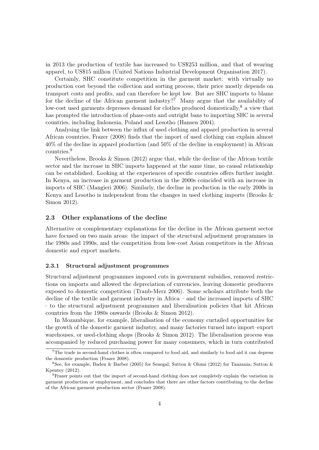in 2013 the production of textile has increased to US\$253 million, and that of wearing apparel, to US\$15 million (United Nations Industrial Development Organisation 2017).

Certainly, SHC constitute competition in the garment market: with virtually no production cost beyond the collection and sorting process, their price mostly depends on transport costs and profits, and can therefore be kept low. But are SHC imports to blame for the decline of the African garment industry?<sup>7</sup> Many argue that the availability of low-cost used garments depresses demand for clothes produced domestically,<sup>8</sup> a view that has prompted the introduction of phase-outs and outright bans to importing SHC in several countries, including Indonesia, Poland and Lesotho (Hansen 2004).

Analysing the link between the influx of used clothing and apparel production in several African countries, Frazer (2008) finds that the import of used clothing can explain almost 40% of the decline in apparel production (and 50% of the decline in employment) in African countries.<sup>9</sup>

Nevertheless, Brooks  $\&$  Simon (2012) argue that, while the decline of the African textile sector and the increase in SHC imports happened at the same time, no causal relationship can be established. Looking at the experiences of specific countries offers further insight. In Kenya, an increase in garment production in the 2000s coincided with an increase in imports of SHC (Mangieri 2006). Similarly, the decline in production in the early 2000s in Kenya and Lesotho is independent from the changes in used clothing imports (Brooks & Simon 2012).

## 2.3 Other explanations of the decline

Alternative or complementary explanations for the decline in the African garment sector have focused on two main areas: the impact of the structural adjustment programmes in the 1980s and 1990s, and the competition from low-cost Asian competitors in the African domestic and export markets.

## 2.3.1 Structural adjustment programmes

Structural adjustment programmes imposed cuts in government subsidies, removed restrictions on imports and allowed the depreciation of currencies, leaving domestic producers exposed to domestic competition (Traub-Merz 2006). Some scholars attribute both the decline of the textile and garment industry in Africa – and the increased imports of SHC – to the structural adjustment programmes and liberalisation policies that hit African countries from the 1980s onwards (Brooks & Simon 2012).

In Mozambique, for example, liberalisation of the economy curtailed opportunities for the growth of the domestic garment industry, and many factories turned into import–export warehouses, or used-clothing shops (Brooks & Simon 2012). The liberalisation process was accompanied by reduced purchasing power for many consumers, which in turn contributed

<sup>7</sup>The trade in second-hand clothes is often compared to food aid, and similarly to food aid it can depress the domestic production (Frazer 2008).

<sup>&</sup>lt;sup>8</sup>See, for example, Baden & Barber (2005) for Senegal, Sutton & Olomi (2012) for Tanzania; Sutton & Kpentey (2012).

<sup>9</sup>Frazer points out that the import of second-hand clothing does not completely explain the variation in garment production or employment, and concludes that there are other factors contributing to the decline of the African garment production sector (Frazer 2008).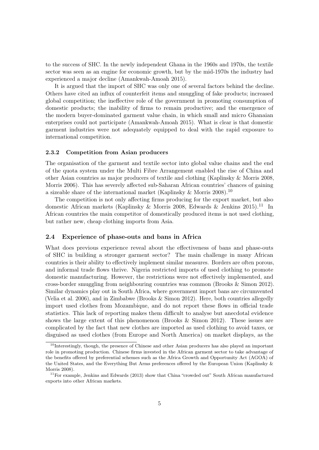to the success of SHC. In the newly independent Ghana in the 1960s and 1970s, the textile sector was seen as an engine for economic growth, but by the mid-1970s the industry had experienced a major decline (Amankwah-Amoah 2015).

It is argued that the import of SHC was only one of several factors behind the decline. Others have cited an influx of counterfeit items and smuggling of fake products; increased global competition; the ineffective role of the government in promoting consumption of domestic products; the inability of firms to remain productive; and the emergence of the modern buyer-dominated garment value chain, in which small and micro Ghanaian enterprises could not participate (Amankwah-Amoah 2015). What is clear is that domestic garment industries were not adequately equipped to deal with the rapid exposure to international competition.

#### 2.3.2 Competition from Asian producers

The organisation of the garment and textile sector into global value chains and the end of the quota system under the Multi Fibre Arrangement enabled the rise of China and other Asian countries as major producers of textile and clothing (Kaplinsky & Morris 2008, Morris 2006). This has severely affected sub-Saharan African countries' chances of gaining a sizeable share of the international market (Kaplinsky & Morris 2008).<sup>10</sup>

The competition is not only affecting firms producing for the export market, but also domestic African markets (Kaplinsky & Morris 2008, Edwards & Jenkins 2015).<sup>11</sup> In African countries the main competitor of domestically produced items is not used clothing, but rather new, cheap clothing imports from Asia.

# 2.4 Experience of phase-outs and bans in Africa

What does previous experience reveal about the effectiveness of bans and phase-outs of SHC in building a stronger garment sector? The main challenge in many African countries is their ability to effectively implement similar measures. Borders are often porous, and informal trade flows thrive. Nigeria restricted imports of used clothing to promote domestic manufacturing. However, the restrictions were not effectively implemented, and cross-border smuggling from neighbouring countries was common (Brooks & Simon 2012). Similar dynamics play out in South Africa, where government import bans are circumvented (Velia et al. 2006), and in Zimbabwe (Brooks & Simon 2012). Here, both countries allegedly import used clothes from Mozambique, and do not report these flows in official trade statistics. This lack of reporting makes them difficult to analyse but anecdotal evidence shows the large extent of this phenomenon (Brooks  $\&$  Simon 2012). These issues are complicated by the fact that new clothes are imported as used clothing to avoid taxes, or disguised as used clothes (from Europe and North America) on market displays, as the

<sup>&</sup>lt;sup>10</sup>Interestingly, though, the presence of Chinese and other Asian producers has also played an important role in promoting production. Chinese firms invested in the African garment sector to take advantage of the benefits offered by preferential schemes such as the Africa Growth and Opportunity Act (AGOA) of the United States, and the Everything But Arms preferences offered by the European Union (Kaplinsky & Morris 2008).

<sup>&</sup>lt;sup>11</sup>For example, Jenkins and Edwards (2013) show that China "crowded out" South African manufactured exports into other African markets.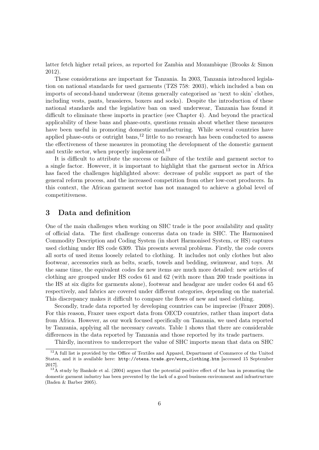latter fetch higher retail prices, as reported for Zambia and Mozambique (Brooks & Simon 2012).

These considerations are important for Tanzania. In 2003, Tanzania introduced legislation on national standards for used garments (TZS 758: 2003), which included a ban on imports of second-hand underwear (items generally categorised as 'next to skin' clothes, including vests, pants, brassieres, boxers and socks). Despite the introduction of these national standards and the legislative ban on used underwear, Tanzania has found it difficult to eliminate these imports in practice (see Chapter 4). And beyond the practical applicability of these bans and phase-outs, questions remain about whether these measures have been useful in promoting domestic manufacturing. While several countries have applied phase-outs or outright bans,<sup>12</sup> little to no research has been conducted to assess the effectiveness of these measures in promoting the development of the domestic garment and textile sector, when properly implemented.<sup>13</sup>

It is difficult to attribute the success or failure of the textile and garment sector to a single factor. However, it is important to highlight that the garment sector in Africa has faced the challenges highlighted above: decrease of public support as part of the general reform process, and the increased competition from other low-cost producers. In this context, the African garment sector has not managed to achieve a global level of competitiveness.

# 3 Data and definition

One of the main challenges when working on SHC trade is the poor availability and quality of official data. The first challenge concerns data on trade in SHC. The Harmonised Commodity Description and Coding System (in short Harmonised System, or HS) captures used clothing under HS code 6309. This presents several problems. Firstly, the code covers all sorts of used items loosely related to clothing. It includes not only clothes but also footwear, accessories such as belts, scarfs, towels and bedding, swimwear, and toys. At the same time, the equivalent codes for new items are much more detailed: new articles of clothing are grouped under HS codes 61 and 62 (with more than 200 trade positions in the HS at six digits for garments alone), footwear and headgear are under codes 64 and 65 respectively, and fabrics are covered under different categories, depending on the material. This discrepancy makes it difficult to compare the flows of new and used clothing.

Secondly, trade data reported by developing countries can be imprecise (Frazer 2008). For this reason, Frazer uses export data from OECD countries, rather than import data from Africa. However, as our work focused specifically on Tanzania, we used data reported by Tanzania, applying all the necessary caveats. Table 1 shows that there are considerable differences in the data reported by Tanzania and those reported by its trade partners.

Thirdly, incentives to underreport the value of SHC imports mean that data on SHC

<sup>&</sup>lt;sup>12</sup>A full list is provided by the Office of Textiles and Apparel, Department of Commerce of the United States, and it is available here: http://otexa.trade.gov/worn\_clothing.htm [accessed 15 September 2017].

 $13\text{\AA}$  study by Bankole et al. (2004) argues that the potential positive effect of the ban in promoting the domestic garment industry has been prevented by the lack of a good business environment and infrastructure (Baden & Barber 2005).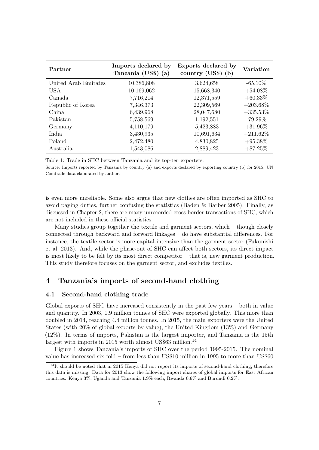| Partner              | Imports declared by<br>Tanzania (US\$) (a) | Exports declared by<br>country $(US\$ ) (b) | Variation   |
|----------------------|--------------------------------------------|---------------------------------------------|-------------|
| United Arab Emirates | 10,386,808                                 | 3,624,658                                   | $-65.10\%$  |
| <b>USA</b>           | 10,169,062                                 | 15,668,340                                  | $+54.08\%$  |
| Canada               | 7,716,214                                  | 12,371,559                                  | $+60.33\%$  |
| Republic of Korea    | 7,346,373                                  | 22,309,569                                  | $+203.68\%$ |
| China.               | 6,439,968                                  | 28,047,680                                  | $+335.53\%$ |
| Pakistan             | 5,758,569                                  | 1,192,551                                   | $-79.29\%$  |
| Germany              | 4,110,179                                  | 5,423,883                                   | $+31.96\%$  |
| India                | 3,430,935                                  | 10,691,634                                  | $+211.62\%$ |
| Poland               | 2,472,480                                  | 4,830,825                                   | $+95.38\%$  |
| Australia            | 1,543,086                                  | 2,889,423                                   | $+87.25\%$  |

Table 1: Trade in SHC between Tanzania and its top-ten exporters.

Source: Imports reported by Tanzania by country (a) and exports declared by exporting country (b) for 2015. UN Comtrade data elaborated by author.

is even more unreliable. Some also argue that new clothes are often imported as SHC to avoid paying duties, further confusing the statistics (Baden & Barber 2005). Finally, as discussed in Chapter 2, there are many unrecorded cross-border transactions of SHC, which are not included in these official statistics.

Many studies group together the textile and garment sectors, which – though closely connected through backward and forward linkages – do have substantial differences. For instance, the textile sector is more capital-intensive than the garment sector (Fukunishi et al. 2013). And, while the phase-out of SHC can affect both sectors, its direct impact is most likely to be felt by its most direct competitor – that is, new garment production. This study therefore focuses on the garment sector, and excludes textiles.

# 4 Tanzania's imports of second-hand clothing

## 4.1 Second-hand clothing trade

Global exports of SHC have increased consistently in the past few years – both in value and quantity. In 2003, 1.9 million tonnes of SHC were exported globally. This more than doubled in 2014, reaching 4.4 million tonnes. In 2015, the main exporters were the United States (with 20% of global exports by value), the United Kingdom (13%) and Germany (12%). In terms of imports, Pakistan is the largest importer, and Tanzania is the 15th largest with imports in 2015 worth almost US\$63 million.<sup>14</sup>

Figure 1 shows Tanzania's imports of SHC over the period 1995-2015. The nominal value has increased six-fold – from less than US\$10 million in 1995 to more than US\$60

 $14$ It should be noted that in 2015 Kenya did not report its imports of second-hand clothing, therefore this data is missing. Data for 2013 show the following import shares of global imports for East African countries: Kenya 3%, Uganda and Tanzania 1.9% each, Rwanda 0.6% and Burundi 0.2%.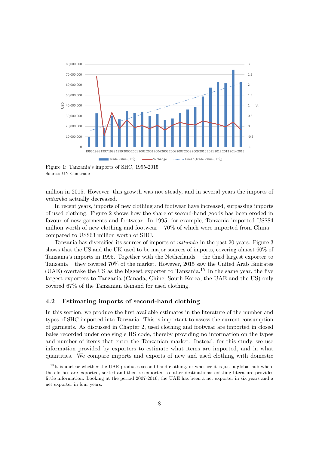

Source: UN Comtrade

million in 2015. However, this growth was not steady, and in several years the imports of mitumba actually decreased.

In recent years, imports of new clothing and footwear have increased, surpassing imports of used clothing. Figure 2 shows how the share of second-hand goods has been eroded in favour of new garments and footwear. In 1995, for example, Tanzania imported US\$84 million worth of new clothing and footwear –  $70\%$  of which were imported from China – compared to US\$63 million worth of SHC.

Tanzania has diversified its sources of imports of mitumba in the past 20 years. Figure 3 shows that the US and the UK used to be major sources of imports, covering almost 60% of Tanzania's imports in 1995. Together with the Netherlands – the third largest exporter to Tanzania – they covered 70% of the market. However, 2015 saw the United Arab Emirates (UAE) overtake the US as the biggest exporter to Tanzania.<sup>15</sup> In the same year, the five largest exporters to Tanzania (Canada, Chine, South Korea, the UAE and the US) only covered 67% of the Tanzanian demand for used clothing.

## 4.2 Estimating imports of second-hand clothing

In this section, we produce the first available estimates in the literature of the number and types of SHC imported into Tanzania. This is important to assess the current consumption of garments. As discussed in Chapter 2, used clothing and footwear are imported in closed bales recorded under one single HS code, thereby providing no information on the types and number of items that enter the Tanzanian market. Instead, for this study, we use information provided by exporters to estimate what items are imported, and in what quantities. We compare imports and exports of new and used clothing with domestic

 $15$ It is unclear whether the UAE produces second-hand clothing, or whether it is just a global hub where the clothes are exported, sorted and then re-exported to other destinations; existing literature provides little information. Looking at the period 2007-2016, the UAE has been a net exporter in six years and a net exporter in four years.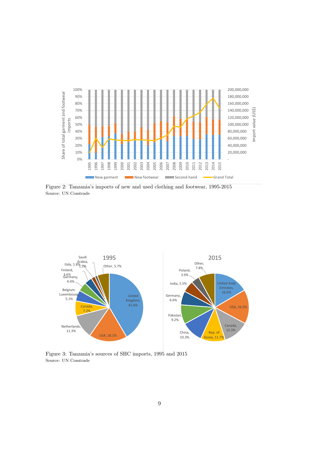

Figure 2: Tanzania's imports of new and used clothing and footwear, 1995-2015 Source: UN Comtrade



Figure 3: Tanzania's sources of SHC imports, 1995 and 2015 Source: UN Comtrade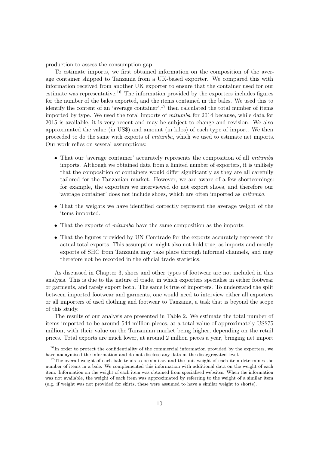production to assess the consumption gap.

To estimate imports, we first obtained information on the composition of the average container shipped to Tanzania from a UK-based exporter. We compared this with information received from another UK exporter to ensure that the container used for our estimate was representative.<sup>16</sup> The information provided by the exporters includes figures for the number of the bales exported, and the items contained in the bales. We used this to identify the content of an 'average container',  $17$  then calculated the total number of items imported by type. We used the total imports of mitumba for 2014 because, while data for 2015 is available, it is very recent and may be subject to change and revision. We also approximated the value (in US\$) and amount (in kilos) of each type of import. We then proceeded to do the same with exports of mitumba, which we used to estimate net imports. Our work relies on several assumptions:

- That our 'average container' accurately represents the composition of all *mitumba* imports. Although we obtained data from a limited number of exporters, it is unlikely that the composition of containers would differ significantly as they are all carefully tailored for the Tanzanian market. However, we are aware of a few shortcomings: for example, the exporters we interviewed do not export shoes, and therefore our 'average container' does not include shoes, which are often imported as mitumba.
- That the weights we have identified correctly represent the average weight of the items imported.
- That the exports of mitumba have the same composition as the imports.
- That the figures provided by UN Comtrade for the exports accurately represent the actual total exports. This assumption might also not hold true, as imports and mostly exports of SHC from Tanzania may take place through informal channels, and may therefore not be recorded in the official trade statistics.

As discussed in Chapter 3, shoes and other types of footwear are not included in this analysis. This is due to the nature of trade, in which exporters specialise in either footwear or garments, and rarely export both. The same is true of importers. To understand the split between imported footwear and garments, one would need to interview either all exporters or all importers of used clothing and footwear to Tanzania, a task that is beyond the scope of this study.

The results of our analysis are presented in Table 2. We estimate the total number of items imported to be around 544 million pieces, at a total value of approximately US\$75 million, with their value on the Tanzanian market being higher, depending on the retail prices. Total exports are much lower, at around 2 million pieces a year, bringing net import

 $16$ In order to protect the confidentiality of the commercial information provided by the exporters, we have anonymised the information and do not disclose any data at the disaggregated level.

<sup>&</sup>lt;sup>17</sup>The overall weight of each bale tends to be similar, and the unit weight of each item determines the number of items in a bale. We complemented this information with additional data on the weight of each item. Information on the weight of each item was obtained from specialised websites. When the information was not available, the weight of each item was approximated by referring to the weight of a similar item (e.g. if weight was not provided for skirts, these were assumed to have a similar weight to shorts).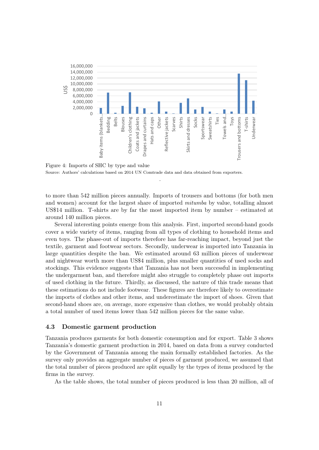

Figure 4: Imports of SHC by type and value Source: Authors' calculations based on 2014 UN Comtrade data and data obtained from exporters.

to more than 542 million pieces annually. Imports of trousers and bottoms (for both men and women) account for the largest share of imported *mitumba* by value, totalling almost US\$14 million. T-shirts are by far the most imported item by number – estimated at around 140 million pieces.

.

Several interesting points emerge from this analysis. First, imported second-hand goods cover a wide variety of items, ranging from all types of clothing to household items and even toys. The phase-out of imports therefore has far-reaching impact, beyond just the textile, garment and footwear sectors. Secondly, underwear is imported into Tanzania in large quantities despite the ban. We estimated around 63 million pieces of underwear and nightwear worth more than US\$4 million, plus smaller quantities of used socks and stockings. This evidence suggests that Tanzania has not been successful in implementing the undergarment ban, and therefore might also struggle to completely phase out imports of used clothing in the future. Thirdly, as discussed, the nature of this trade means that these estimations do not include footwear. These figures are therefore likely to overestimate the imports of clothes and other items, and underestimate the import of shoes. Given that second-hand shoes are, on average, more expensive than clothes, we would probably obtain a total number of used items lower than 542 million pieces for the same value.

### 4.3 Domestic garment production

Tanzania produces garments for both domestic consumption and for export. Table 3 shows Tanzania's domestic garment production in 2014, based on data from a survey conducted by the Government of Tanzania among the main formally established factories. As the survey only provides an aggregate number of pieces of garment produced, we assumed that the total number of pieces produced are split equally by the types of items produced by the firms in the survey.

As the table shows, the total number of pieces produced is less than 20 million, all of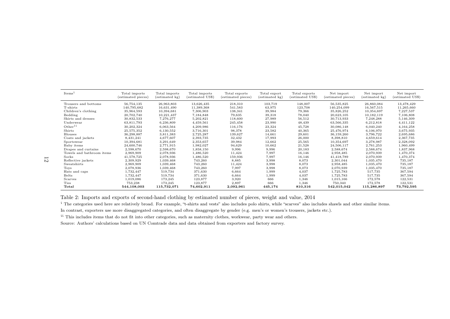| Items <sup>1</sup>        | Total imports<br>(estimated pieces) | Total imports<br>$(estimated \; kg)$ | Total imports<br>estimated US\$) | Total exports<br>(estimated pieces) | Total export<br>(estimated kg) | Total exports<br>(estimated US\$) | Net import<br>(estimated pieces) | Net import<br>(estimated kg) | Net import<br>(estimated US\$) |
|---------------------------|-------------------------------------|--------------------------------------|----------------------------------|-------------------------------------|--------------------------------|-----------------------------------|----------------------------------|------------------------------|--------------------------------|
| Trousers and bottoms      | 56,754,135                          | 26,963,803                           | 13,626,435                       | 218,310                             | 103,719                        | 148,007                           | 56,535,825                       | 26,860,084                   | 13,478,429                     |
| T-shirts                  | 140,795,682                         | 16,631,490                           | 11,389,368                       | 541,583                             | 63,975                         | 123,708                           | 140,254,099                      | 16.567.515                   | 11,265,660                     |
| Children's clothing       | 35,964,593                          | 10,394,681                           | 7,306,903                        | 138,341                             | 39,984                         | 79,366                            | 35,826,252                       | 10,354,697                   | 7,227,537                      |
| Bedding                   | 20,702,740                          | 10,221,437                           | 7,184,848                        | 79,635                              | 39,318                         | 78,040                            | 20,623,105                       | 10,182,119                   | 7,106,808                      |
| Skirts and dresses        | 30,832,533                          | 7,276,277                            | 5,202,821                        | 118,600                             | 27,989                         | 56,512                            | 30,713,933                       | 7,248,288                    | 5,146,309                      |
| Underwear                 | 63,811,793                          | 6,236,809                            | 4,459,561                        | 245,458                             | 23,990                         | 48,439                            | 63,566,335                       | 6,212,818                    | 4,411,122                      |
| Other <sup>ii</sup>       | 30,202,324                          | 6,063,564                            | 4,209,986                        | 116,176                             | 23,324                         | 45,728                            | 30,086,148                       | 6,040,240                    | 4, 164, 258                    |
| Shirts                    | 25,575,352                          | 6,130,552                            | 3,716,301                        | 98,378                              | 23,582                         | 40,365                            | 25.476.974                       | 6,106,970                    | 3,675,935                      |
| <b>Blouses</b>            | 36,298,887                          | 3,811,383                            | 2,725,287                        | 139,627                             | 14,661                         | 29,601                            | 36,159,260                       | 3,796,722                    | 2,695,686                      |
| Coats and jackets         | 8,431,241                           | 4,677,607                            | 2,393,735                        | 32,432                              | 17,993                         | 26,000                            | 8,398,810                        | 4,659,614                    | 2,367,735                      |
| Sportswear                | 10,394,681                          | 3,291,649                            | 2,353,657                        | 39,984                              | 12,662                         | 25,565                            | 10,354,697                       | 3,278,987                    | 2,328,092                      |
| Baby items                | 24,600,746                          | 2,771,915                            | 1,982,027                        | 94,629                              | 10,662                         | 21,528                            | 24,506,117                       | 2,761,253                    | 1,960,499                      |
| Drapes and curtains       | 2,598,670                           | 2,598,670                            | 1,858,150                        | 9,996                               | 9,996                          | 20,183                            | 2,588,674                        | 2,588,674                    | 1,837,968                      |
| Towels and bathroom items | 2,969,909                           | 2,078,936                            | 1,486,520                        | 11,424                              | 7,997                          | 16,146                            | 2,958,485                        | 2,070,939                    | 1,470,374                      |
| Socks                     | 41,578,725                          | 2,078,936                            | 1,486,520                        | 159,936                             | 7,997                          | 16,146                            | 41,418,789                       | 2,070,939                    | 1,470,374                      |
| Reflective jackets        | 2,309,929                           | 1,039,468                            | 743,260                          | 8,885                               | 3,998                          | 8,073                             | 2,301,044                        | 1,035,470                    | 735,187                        |
| Sweatshirts               | 2,969,909                           | 1,039,468                            | 743,260                          | 11,424                              | 3,998                          | 8,073                             | 2,958,485                        | 1,035,470                    | 735,187                        |
| Toys                      | 2,078,936                           | 1,039,468                            | 743,260                          | 7,997                               | 3,998                          | 8,073                             | 2,070,939                        | 1,035,470                    | 735,187                        |
| Hats and caps             | 1,732,447                           | 519,734                              | 371,630                          | 6,664                               | 1,999                          | 4,037                             | 1,725,783                        | 517,735                      | 367,594                        |
| <b>Belts</b>              | 1,732,447                           | 519,734                              | 371,630                          | 6,664                               | 1,999                          | 4,037                             | 1,725,783                        | 517,735                      | 367,594                        |
| Scarves                   | 1,019,086                           | 173,245                              | 123,877                          | 3,920                               | 666                            | 1,346                             | 1,015,166                        | 172,578                      | 122,531                        |
| Ties                      | 753,238                             | 173,245                              | 123,877                          | 2,897                               | 666                            | 1,346                             | 750,340                          | 172,578                      | 122,531                        |
| Total                     | 544,108,003                         | 115,732,071                          | 74,602,911                       | 2,092,961                           | 445,174                        | 810,316                           | 542,015,042                      | 115,286,897                  | 73,792,595                     |

Table 2: Imports and exports of second-hand clothing by estimated number of <sup>p</sup>ieces, weight and value, <sup>2014</sup>

<sup>i</sup> The categories used here are relatively broad. For example, "t-shirts and vests" also includes polo shirts, while "scarves" also includes shawls and other similar items.

In contrast, exporters use more disaggregated categories, and often disaggregate by gender (e.g. men's or women's trousers, jackets etc.).

ii This includes items that do not fit into other categories, such as maternity clothes, workwear, party wear and others.

Source: Authors' calculations based on UN Comtrade data and data obtained from exporters and factory survey.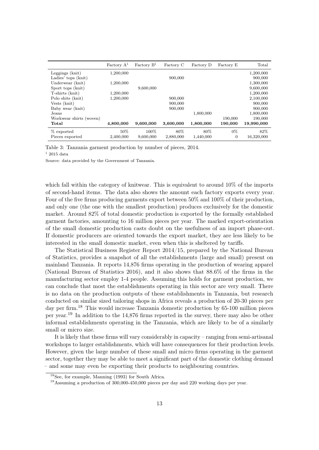|                         | Factory A <sup>i</sup> | Factory B <sup>i</sup> | Factory C | Factory D | Factory E      | Total      |
|-------------------------|------------------------|------------------------|-----------|-----------|----------------|------------|
| Leggings (knit)         | 1,200,000              |                        |           |           |                | 1,200,000  |
| Ladies' tops (knit)     |                        |                        | 900,000   |           |                | 900,000    |
| Underwear (knit)        | 1,200,000              |                        |           |           |                | 1,300,000  |
| Sport tops (knit)       |                        | 9,600,000              |           |           |                | 9,600,000  |
| T-shirts (knit)         | 1,200,000              |                        |           |           |                | 1,200,000  |
| Polo shits (knit)       | 1,200,000              |                        | 900,000   |           |                | 2,100,000  |
| Vests (knit)            |                        |                        | 900,000   |           |                | 900,000    |
| Baby wear (knit)        |                        |                        | 900,000   |           |                | 900,000    |
| Jeans                   |                        |                        |           | 1,800,000 |                | 1,800,000  |
| Workwear shirts (woven) |                        |                        |           |           | 190,000        | 190,000    |
| Total                   | 4,800,000              | 9,600,000              | 3,600,000 | 1,800,000 | 190,000        | 19,990,000 |
| % exported              | 50%                    | 100%                   | 80\%      | 80\%      | $0\%$          | 82%        |
| Pieces exported         | 2,400,000              | 9,600,000              | 2,880,000 | 1,440,000 | $\overline{0}$ | 16,320,000 |

Table 3: Tanzania garment production by number of pieces, 2014.

 $i$  2015 data

Source: data provided by the Government of Tanzania.

which fall within the category of knitwear. This is equivalent to around 10% of the imports of second-hand items. The data also shows the amount each factory exports every year. Four of the five firms producing garments export between 50% and 100% of their production, and only one (the one with the smallest production) produces exclusively for the domestic market. Around 82% of total domestic production is exported by the formally established garment factories, amounting to 16 million pieces per year. The marked export-orientation of the small domestic production casts doubt on the usefulness of an import phase-out. If domestic producers are oriented towards the export market, they are less likely to be interested in the small domestic market, even when this is sheltered by tariffs.

The Statistical Business Register Report 2014/15, prepared by the National Bureau of Statistics, provides a snapshot of all the establishments (large and small) present on mainland Tanzania. It reports 14,876 firms operating in the production of wearing apparel (National Bureau of Statistics 2016), and it also shows that 88.6% of the firms in the manufacturing sector employ 1-4 people. Assuming this holds for garment production, we can conclude that most the establishments operating in this sector are very small. There is no data on the production outputs of these establishments in Tanzania, but research conducted on similar sized tailoring shops in Africa reveals a production of 20-30 pieces per day per firm.<sup>18</sup> This would increase Tanzania domestic production by 65-100 million pieces per year.<sup>19</sup> In addition to the 14,876 firms reported in the survey, there may also be other informal establishments operating in the Tanzania, which are likely to be of a similarly small or micro size.

It is likely that these firms will vary considerably in capacity – ranging from semi-artisanal workshops to larger establishments, which will have consequences for their production levels. However, given the large number of these small and micro firms operating in the garment sector, together they may be able to meet a significant part of the domestic clothing demand – and some may even be exporting their products to neighbouring countries.

<sup>18</sup>See, for example, Manning (1993) for South Africa.

<sup>19</sup>Assuming a production of 300,000-450,000 pieces per day and 220 working days per year.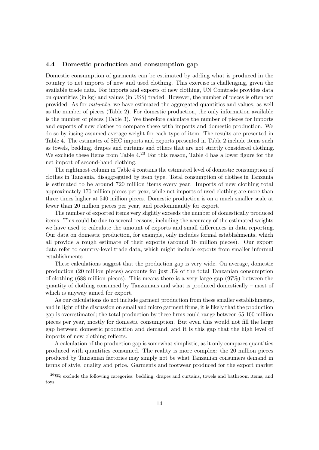## 4.4 Domestic production and consumption gap

Domestic consumption of garments can be estimated by adding what is produced in the country to net imports of new and used clothing. This exercise is challenging, given the available trade data. For imports and exports of new clothing, UN Comtrade provides data on quantities (in kg) and values (in US\$) traded. However, the number of pieces is often not provided. As for mitumba, we have estimated the aggregated quantities and values, as well as the number of pieces (Table 2). For domestic production, the only information available is the number of pieces (Table 3). We therefore calculate the number of pieces for imports and exports of new clothes to compare these with imports and domestic production. We do so by iusing assumed average weight for each type of item. The results are presented in Table 4. The estimates of SHC imports and exports presented in Table 2 include items such as towels, bedding, drapes and curtains and others that are not strictly considered clothing. We exclude these items from Table 4.<sup>20</sup> For this reason, Table 4 has a lower figure for the net import of second-hand clothing.

The rightmost column in Table 4 contains the estimated level of domestic consumption of clothes in Tanzania, disaggregated by item type. Total consumption of clothes in Tanzania is estimated to be around 720 million items every year. Imports of new clothing total approximately 170 million pieces per year, while net imports of used clothing are more than three times higher at 540 million pieces. Domestic production is on a much smaller scale at fewer than 20 million pieces per year, and predominantly for export.

The number of exported items very slightly exceeds the number of domestically produced items. This could be due to several reasons, including the accuracy of the estimated weights we have used to calculate the amount of exports and small differences in data reporting. Our data on domestic production, for example, only includes formal establishments, which all provide a rough estimate of their exports (around 16 million pieces). Our export data refer to country-level trade data, which might include exports from smaller informal establishments.

These calculations suggest that the production gap is very wide. On average, domestic production (20 million pieces) accounts for just 3% of the total Tanzanian consumption of clothing (688 million pieces). This means there is a very large gap (97%) between the quantity of clothing consumed by Tanzanians and what is produced domestically – most of which is anyway aimed for export.

As our calculations do not include garment production from these smaller establishments, and in light of the discussion on small and micro garment firms, it is likely that the production gap is overestimated; the total production by these firms could range between 65-100 million pieces per year, mostly for domestic consumption. But even this would not fill the large gap between domestic production and demand, and it is this gap that the high level of imports of new clothing reflects.

A calculation of the production gap is somewhat simplistic, as it only compares quantities produced with quantities consumed. The reality is more complex: the 20 million pieces produced by Tanzanian factories may simply not be what Tanzanian consumers demand in terms of style, quality and price. Garments and footwear produced for the export market

 $^{20}$ We exclude the following categories: bedding, drapes and curtains, towels and bathroom items, and toys.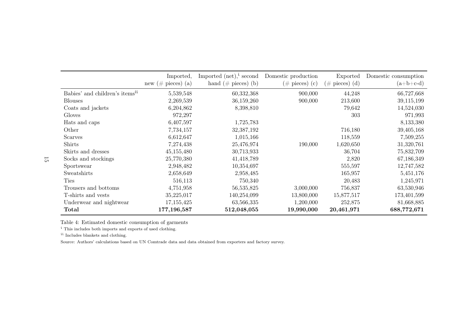|                                            | Imported,<br>new (# pieces) (a) | Imported $(\text{net})^i$ , second<br>hand $(\#$ pieces) (b) | Domestic production<br>$(\# \text{ pieces})$ (c) | Exported<br>$(\# \text{ pieces})$ (d) | Domestic consumption<br>$(a+b+c-d)$ |
|--------------------------------------------|---------------------------------|--------------------------------------------------------------|--------------------------------------------------|---------------------------------------|-------------------------------------|
| Babies' and children's items <sup>ii</sup> | 5,539,548                       | 60,332,368                                                   | 900,000                                          | 44,248                                | 66,727,668                          |
| <b>Blouses</b>                             | 2,269,539                       | 36,159,260                                                   | 900,000                                          | 213,600                               | 39,115,199                          |
| Coats and jackets                          | 6,204,862                       | 8,398,810                                                    |                                                  | 79,642                                | 14,524,030                          |
| Gloves                                     | 972,297                         |                                                              |                                                  | 303                                   | 971,993                             |
| Hats and caps                              | 6,407,597                       | 1,725,783                                                    |                                                  |                                       | 8,133,380                           |
| Other                                      | 7,734,157                       | 32,387,192                                                   |                                                  | 716,180                               | 39,405,168                          |
| Scarves                                    | 6,612,647                       | 1,015,166                                                    |                                                  | 118,559                               | 7,509,255                           |
| <b>Shirts</b>                              | 7,274,438                       | 25,476,974                                                   | 190,000                                          | 1,620,650                             | 31,320,761                          |
| Skirts and dresses                         | 45,155,480                      | 30,713,933                                                   |                                                  | 36,704                                | 75,832,709                          |
| Socks and stockings                        | 25,770,380                      | 41,418,789                                                   |                                                  | 2,820                                 | 67,186,349                          |
| Sportswear                                 | 2,948,482                       | 10,354,697                                                   |                                                  | 555,597                               | 12,747,582                          |
| Sweatshirts                                | 2,658,649                       | 2,958,485                                                    |                                                  | 165,957                               | 5,451,176                           |
| <b>Ties</b>                                | 516,113                         | 750,340                                                      |                                                  | 20,483                                | 1,245,971                           |
| Trousers and bottoms                       | 4,751,958                       | 56,535,825                                                   | 3,000,000                                        | 756,837                               | 63,530,946                          |
| T-shirts and vests                         | 35,225,017                      | 140,254,099                                                  | 13,800,000                                       | 15,877,517                            | 173,401,599                         |
| Underwear and nightwear                    | 17, 155, 425                    | 63,566,335                                                   | 1,200,000                                        | 252,875                               | 81,668,885                          |
| Total                                      | 177,196,587                     | 512,048,055                                                  | 19,990,000                                       | 20,461,971                            | 688,772,671                         |

Table 4: Estimated domestic consumption of garments

i This includes both imports and exports of used clothing.

ii Includes blankets and clothing.

Source: Authors' calculations based on UN Comtrade data and data obtained from exporters and factory survey.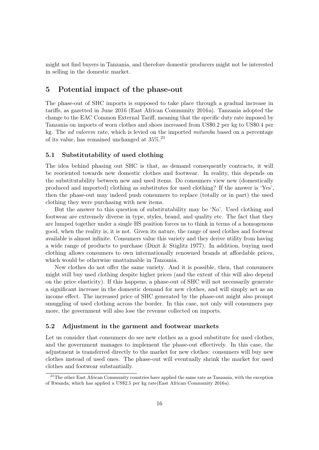might not find buyers in Tanzania, and therefore domestic producers might not be interested in selling in the domestic market.

# 5 Potential impact of the phase-out

The phase-out of SHC imports is supposed to take place through a gradual increase in tariffs, as gazetted in June 2016 (East African Community 2016a). Tanzania adopted the change to the EAC Common External Tariff, meaning that the specific duty rate imposed by Tanzania on imports of worn clothes and shoes increased from US\$0.2 per kg to US\$0.4 per kg. The ad valorem rate, which is levied on the imported mitumba based on a percentage of its value, has remained unchanged at 35%.<sup>21</sup>

# 5.1 Substitutability of used clothing

The idea behind phasing out SHC is that, as demand consequently contracts, it will be reoriented towards new domestic clothes and footwear. In reality, this depends on the substitutability between new and used items. Do consumers view new (domestically produced and imported) clothing as substitutes for used clothing? If the answer is 'Yes', then the phase-out may indeed push consumers to replace (totally or in part) the used clothing they were purchasing with new items.

But the answer to this question of substitutability may be 'No'. Used clothing and footwear are extremely diverse in type, styles, brand, and quality etc. The fact that they are lumped together under a single HS position forces us to think in terms of a homogenous good, when the reality is, it is not. Given its nature, the range of used clothes and footwear available is almost infinite. Consumers value this variety and they derive utility from having a wide range of products to purchase (Dixit & Stiglitz 1977). In addition, buying used clothing allows consumers to own internationally renowned brands at affordable prices, which would be otherwise unattainable in Tanzania.

New clothes do not offer the same variety. And it is possible, then, that consumers might still buy used clothing despite higher prices (and the extent of this will also depend on the price elasticity). If this happens, a phase-out of SHC will not necessarily generate a significant increase in the domestic demand for new clothes, and will simply act as an income effect. The increased price of SHC generated by the phase-out might also prompt smuggling of used clothing across the border. In this case, not only will consumers pay more, the government will also lose the revenue collected on imports.

## 5.2 Adjustment in the garment and footwear markets

Let us consider that consumers do see new clothes as a good substitute for used clothes, and the government manages to implement the phase-out effectively. In this case, the adjustment is transferred directly to the market for new clothes: consumers will buy new clothes instead of used ones. The phase-out will eventually shrink the market for used clothes and footwear substantially.

<sup>&</sup>lt;sup>21</sup>The other East African Community countries have applied the same rate as Tanzania, with the exception of Rwanda, which has applied a US\$2.5 per kg rate(East African Community 2016a).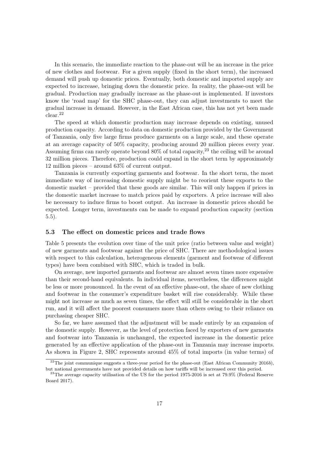In this scenario, the immediate reaction to the phase-out will be an increase in the price of new clothes and footwear. For a given supply (fixed in the short term), the increased demand will push up domestic prices. Eventually, both domestic and imported supply are expected to increase, bringing down the domestic price. In reality, the phase-out will be gradual. Production may gradually increase as the phase-out is implemented. If investors know the 'road map' for the SHC phase-out, they can adjust investments to meet the gradual increase in demand. However, in the East African case, this has not yet been made clear.<sup>22</sup>

The speed at which domestic production may increase depends on existing, unused production capacity. According to data on domestic production provided by the Government of Tanzania, only five large firms produce garments on a large scale, and these operate at an average capacity of 50% capacity, producing around 20 million pieces every year. Assuming firms can rarely operate beyond  $80\%$  of total capacity,  $23$  the ceiling will be around 32 million pieces. Therefore, production could expand in the short term by approximately 12 million pieces – around 63% of current output.

Tanzania is currently exporting garments and footwear. In the short term, the most immediate way of increasing domestic supply might be to reorient these exports to the domestic market – provided that these goods are similar. This will only happen if prices in the domestic market increase to match prices paid by exporters. A price increase will also be necessary to induce firms to boost output. An increase in domestic prices should be expected. Longer term, investments can be made to expand production capacity (section 5.5).

### 5.3 The effect on domestic prices and trade flows

Table 5 presents the evolution over time of the unit price (ratio between value and weight) of new garments and footwear against the price of SHC. There are methodological issues with respect to this calculation, heterogeneous elements (garment and footwear of different types) have been combined with SHC, which is traded in bulk.

On average, new imported garments and footwear are almost seven times more expensive than their second-hand equivalents. In individual items, nevertheless, the differences might be less or more pronounced. In the event of an effective phase-out, the share of new clothing and footwear in the consumer's expenditure basket will rise considerably. While these might not increase as much as seven times, the effect will still be considerable in the short run, and it will affect the poorest consumers more than others owing to their reliance on purchasing cheaper SHC.

So far, we have assumed that the adjustment will be made entirely by an expansion of the domestic supply. However, as the level of protection faced by exporters of new garments and footwear into Tanzania is unchanged, the expected increase in the domestic price generated by an effective application of the phase-out in Tanzania may increase imports. As shown in Figure 2, SHC represents around 45% of total imports (in value terms) of

 $^{22}$ The joint communique suggests a three-year period for the phase-out (East African Community 2016b), but national governments have not provided details on how tariffs will be increased over this period.

 $^{23}$ The average capacity utilisation of the US for the period 1975-2016 is set at 79.9% (Federal Reserve Board 2017).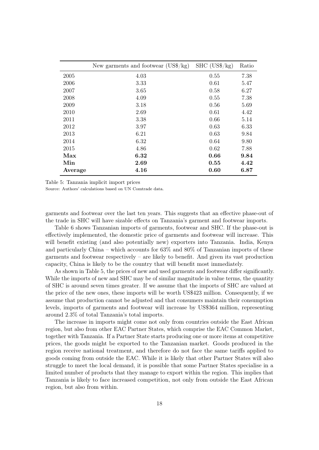|         | New garments and footwear $(US\frac{6}{\text{kg}})$ | $SHC (US\$/kg)$ | Ratio |
|---------|-----------------------------------------------------|-----------------|-------|
| 2005    | 4.03                                                | 0.55            | 7.38  |
| 2006    | 3.33                                                | 0.61            | 5.47  |
| 2007    | 3.65                                                | 0.58            | 6.27  |
| 2008    | 4.09                                                | 0.55            | 7.38  |
| 2009    | 3.18                                                | 0.56            | 5.69  |
| 2010    | 2.69                                                | 0.61            | 4.42  |
| 2011    | 3.38                                                | 0.66            | 5.14  |
| 2012    | 3.97                                                | 0.63            | 6.33  |
| 2013    | 6.21                                                | 0.63            | 9.84  |
| 2014    | 6.32                                                | 0.64            | 9.80  |
| 2015    | 4.86                                                | 0.62            | 7.88  |
| Max     | 6.32                                                | 0.66            | 9.84  |
| Min     | 2.69                                                | 0.55            | 4.42  |
| Average | 4.16                                                | 0.60            | 6.87  |

Table 5: Tanzania implicit import prices

Source: Authors' calculations based on UN Comtrade data.

garments and footwear over the last ten years. This suggests that an effective phase-out of the trade in SHC will have sizable effects on Tanzania's garment and footwear imports.

Table 6 shows Tanzanian imports of garments, footwear and SHC. If the phase-out is effectively implemented, the domestic price of garments and footwear will increase. This will benefit existing (and also potentially new) exporters into Tanzania. India, Kenya and particularly China – which accounts for 63% and 80% of Tanzanian imports of these garments and footwear respectively – are likely to benefit. And given its vast production capacity, China is likely to be the country that will benefit most immediately.

As shown in Table 5, the prices of new and used garments and footwear differ significantly. While the imports of new and SHC may be of similar magnitude in value terms, the quantity of SHC is around seven times greater. If we assume that the imports of SHC are valued at the price of the new ones, these imports will be worth US\$423 million. Consequently, if we assume that production cannot be adjusted and that consumers maintain their consumption levels, imports of garments and footwear will increase by US\$364 million, representing around 2.3% of total Tanzania's total imports.

The increase in imports might come not only from countries outside the East African region, but also from other EAC Partner States, which comprise the EAC Common Market, together with Tanzania. If a Partner State starts producing one or more items at competitive prices, the goods might be exported to the Tanzanian market. Goods produced in the region receive national treatment, and therefore do not face the same tariffs applied to goods coming from outside the EAC. While it is likely that other Partner States will also struggle to meet the local demand, it is possible that some Partner States specialise in a limited number of products that they manage to export within the region. This implies that Tanzania is likely to face increased competition, not only from outside the East African region, but also from within.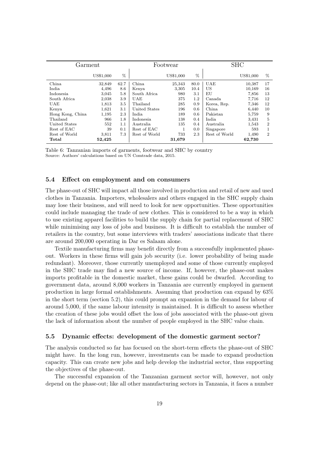| Garment          |           | Footwear |               |           | <b>SHC</b> |               |           |                |
|------------------|-----------|----------|---------------|-----------|------------|---------------|-----------|----------------|
|                  | US\$1,000 | %        |               | US\$1,000 | %          |               | US\$1,000 | $\%$           |
| China            | 32,849    | 62.7     | China         | 25,343    | 80.0       | <b>UAE</b>    | 10,387    | 17             |
| India.           | 4,496     | 8.6      | Kenya         | 3,305     | 10.4       | US            | 10,169    | 16             |
| Indonesia        | 3,045     | 5.8      | South Africa  | 980       | 3.1        | ΕU            | 7,856     | 13             |
| South Africa     | 2,038     | 3.9      | UAE           | 375       | 1.2        | Canada        | 7,716     | 12             |
| UAE              | 1,813     | 3.5      | Thailand      | 285       | 0.9        | Korea, Rep.   | 7,346     | 12             |
| Kenya            | 1,621     | 3.1      | United States | 196       | 0.6        | China.        | 6.440     | 10             |
| Hong Kong, China | 1,195     | 2.3      | India.        | 189       | 0.6        | Pakistan      | 5,759     | 9              |
| Thailand         | 966       | 1.8      | Indonesia     | 138       | 0.4        | India         | 3,431     | 5              |
| United States    | 552       | 1.1      | Australia     | 135       | 0.4        | Australia     | 1,543     | $\overline{2}$ |
| Rest of EAC      | 39        | 0.1      | Rest of EAC   |           | 0.0        | Singapore     | 593       | $\mathbf{1}$   |
| Rest of World    | 3,811     | 7.3      | Rest of World | 733       | 2.3        | Rest of World | 1,490     | $\overline{2}$ |
| Total            | 52,425    |          |               | 31,679    |            |               | 62,730    |                |

Table 6: Tanzanian imports of garments, footwear and SHC by country Source: Authors' calculations based on UN Comtrade data, 2015.

## 5.4 Effect on employment and on consumers

The phase-out of SHC will impact all those involved in production and retail of new and used clothes in Tanzania. Importers, wholesalers and others engaged in the SHC supply chain may lose their business, and will need to look for new opportunities. These opportunities could include managing the trade of new clothes. This is considered to be a way in which to use existing apparel facilities to build the supply chain for partial replacement of SHC while minimising any loss of jobs and business. It is difficult to establish the number of retailers in the country, but some interviews with traders' associations indicate that there are around 200,000 operating in Dar es Salaam alone.

Textile manufacturing firms may benefit directly from a successfully implemented phaseout. Workers in these firms will gain job security (i.e. lower probability of being made redundant). Moreover, those currently unemployed and some of those currently employed in the SHC trade may find a new source of income. If, however, the phase-out makes imports profitable in the domestic market, these gains could be dwarfed. According to government data, around 8,000 workers in Tanzania are currently employed in garment production in large formal establishments. Assuming that production can expand by 63% in the short term (section 5.2), this could prompt an expansion in the demand for labour of around 5,000, if the same labour intensity is maintained. It is difficult to assess whether the creation of these jobs would offset the loss of jobs associated with the phase-out given the lack of information about the number of people employed in the SHC value chain.

### 5.5 Dynamic effects: development of the domestic garment sector?

The analysis conducted so far has focused on the short-term effects the phase-out of SHC might have. In the long run, however, investments can be made to expand production capacity. This can create new jobs and help develop the industrial sector, thus supporting the objectives of the phase-out.

The successful expansion of the Tanzanian garment sector will, however, not only depend on the phase-out; like all other manufacturing sectors in Tanzania, it faces a number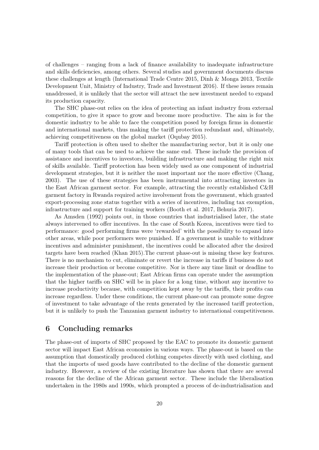of challenges – ranging from a lack of finance availability to inadequate infrastructure and skills deficiencies, among others. Several studies and government documents discuss these challenges at length (International Trade Centre 2015, Dinh & Monga 2013, Textile Development Unit, Ministry of Industry, Trade and Investment 2016). If these issues remain unaddressed, it is unlikely that the sector will attract the new investment needed to expand its production capacity.

The SHC phase-out relies on the idea of protecting an infant industry from external competition, to give it space to grow and become more productive. The aim is for the domestic industry to be able to face the competition posed by foreign firms in domestic and international markets, thus making the tariff protection redundant and, ultimately, achieving competitiveness on the global market (Oqubay 2015).

Tariff protection is often used to shelter the manufacturing sector, but it is only one of many tools that can be used to achieve the same end. These include the provision of assistance and incentives to investors, building infrastructure and making the right mix of skills available. Tariff protection has been widely used as one component of industrial development strategies, but it is neither the most important nor the more effective (Chang, 2003). The use of these strategies has been instrumental into attracting investors in the East African garment sector. For example, attracting the recently established C&H garment factory in Rwanda required active involvement from the government, which granted export-processing zone status together with a series of incentives, including tax exemption, infrastructure and support for training workers (Booth et al. 2017, Behuria 2017).

As Amsden (1992) points out, in those countries that industrialised later, the state always intervened to offer incentives. In the case of South Korea, incentives were tied to performance: good performing firms were 'rewarded' with the possibility to expand into other areas, while poor performers were punished. If a government is unable to withdraw incentives and administer punishment, the incentives could be allocated after the desired targets have been reached (Khan 2015).The current phase-out is missing these key features. There is no mechanism to cut, eliminate or revert the increase in tariffs if business do not increase their production or become competitive. Nor is there any time limit or deadline to the implementation of the phase-out; East African firms can operate under the assumption that the higher tariffs on SHC will be in place for a long time, without any incentive to increase productivity because, with competition kept away by the tariffs, their profits can increase regardless. Under these conditions, the current phase-out can promote some degree of investment to take advantage of the rents generated by the increased tariff protection, but it is unlikely to push the Tanzanian garment industry to international competitiveness.

# 6 Concluding remarks

The phase-out of imports of SHC proposed by the EAC to promote its domestic garment sector will impact East African economies in various ways. The phase-out is based on the assumption that domestically produced clothing competes directly with used clothing, and that the imports of used goods have contributed to the decline of the domestic garment industry. However, a review of the existing literature has shown that there are several reasons for the decline of the African garment sector. These include the liberalisation undertaken in the 1980s and 1990s, which prompted a process of de-industrialisation and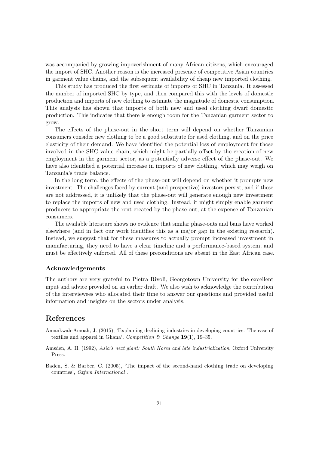was accompanied by growing impoverishment of many African citizens, which encouraged the import of SHC. Another reason is the increased presence of competitive Asian countries in garment value chains, and the subsequent availability of cheap new imported clothing.

This study has produced the first estimate of imports of SHC in Tanzania. It assessed the number of imported SHC by type, and then compared this with the levels of domestic production and imports of new clothing to estimate the magnitude of domestic consumption. This analysis has shown that imports of both new and used clothing dwarf domestic production. This indicates that there is enough room for the Tanzanian garment sector to grow.

The effects of the phase-out in the short term will depend on whether Tanzanian consumers consider new clothing to be a good substitute for used clothing, and on the price elasticity of their demand. We have identified the potential loss of employment for those involved in the SHC value chain, which might be partially offset by the creation of new employment in the garment sector, as a potentially adverse effect of the phase-out. We have also identified a potential increase in imports of new clothing, which may weigh on Tanzania's trade balance.

In the long term, the effects of the phase-out will depend on whether it prompts new investment. The challenges faced by current (and prospective) investors persist, and if these are not addressed, it is unlikely that the phase-out will generate enough new investment to replace the imports of new and used clothing. Instead, it might simply enable garment producers to appropriate the rent created by the phase-out, at the expense of Tanzanian consumers.

The available literature shows no evidence that similar phase-outs and bans have worked elsewhere (and in fact our work identifies this as a major gap in the existing research). Instead, we suggest that for these measures to actually prompt increased investment in manufacturing, they need to have a clear timeline and a performance-based system, and must be effectively enforced. All of these preconditions are absent in the East African case.

### Acknowledgements

The authors are very grateful to Pietra Rivoli, Georgetown University for the excellent input and advice provided on an earlier draft. We also wish to acknowledge the contribution of the interviewees who allocated their time to answer our questions and provided useful information and insights on the sectors under analysis.

# References

- Amankwah-Amoah, J. (2015), 'Explaining declining industries in developing countries: The case of textiles and apparel in Ghana', *Competition & Change* 19(1), 19–35.
- Amsden, A. H. (1992), *Asia's next giant: South Korea and late industrialization*, Oxford University Press.
- Baden, S. & Barber, C. (2005), 'The impact of the second-hand clothing trade on developing countries', *Oxfam International* .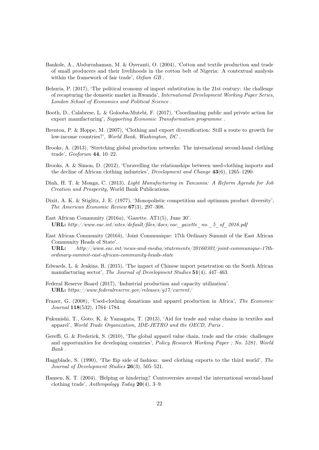- Bankole, A., Abdurrahaman, M. & Oyeranti, O. (2004), 'Cotton and textile production and trade of small producers and their livelihoods in the cotton belt of Nigeria: A contextual analysis within the framework of fair trade', *Oxfam GB* .
- Behuria, P. (2017), 'The political economy of import substitution in the 21st century: the challenge of recapturing the domestic market in Rwanda', *International Development Working Paper Series, London School of Economics and Political Science* .
- Booth, D., Calabrese, L. & Golooba-Mutebi, F. (2017), 'Coordinating public and private action for export manufacturing', *Supporting Economic Transformation programme* .
- Brenton, P. & Hoppe, M. (2007), 'Clothing and export diversification: Still a route to growth for low-income countries?', *World Bank, Washington, DC* .
- Brooks, A. (2013), 'Stretching global production networks: The international second-hand clothing trade', *Geoforum* 44, 10–22.
- Brooks, A. & Simon, D. (2012), 'Unravelling the relationships between used-clothing imports and the decline of African clothing industries', *Development and Change* 43(6), 1265–1290.
- Dinh, H. T. & Monga, C. (2013), *Light Manufacturing in Tanzania: A Reform Agenda for Job Creation and Prosperity*, World Bank Publications.
- Dixit, A. K. & Stiglitz, J. E. (1977), 'Monopolistic competition and optimum product diversity', *The American Economic Review* 67(3), 297–308.
- East African Community (2016*a*), 'Gazette. AT1(5), June 30'. URL: *http://www.eac.int/sites/default/files/docs/eac\_gazette\_no.\_5\_of\_2016.pdf*
- East African Community (2016*b*), 'Joint Communique: 17th Ordinary Summit of the East African Community Heads of State'.

URL: *http://www.eac.int/news-and-media/statements/20160302/joint-communique-17thordinary-summit-east-african-community-heads-state*

- Edwards, L. & Jenkins, R. (2015), 'The impact of Chinese import penetration on the South African manufacturing sector', *The Journal of Development Studies* 51(4), 447–463.
- Federal Reserve Board (2017), 'Industrial production and capacity utilization'. URL: *https://www.federalreserve.gov/releases/g17/current/*
- Frazer, G. (2008), 'Used-clothing donations and apparel production in Africa', *The Economic Journal* 118(532), 1764–1784.
- Fukunishi, T., Goto, K. & Yamagata, T. (2013), 'Aid for trade and value chains in textiles and apparel', *World Trade Organization, IDE-JETRO and the OECD, Paris* .
- Gereffi, G. & Frederick, S. (2010), 'The global apparel value chain, trade and the crisis: challenges and opportunities for developing countries', *Policy Research Working Paper ; No. 5281. World Bank* .
- Haggblade, S. (1990), 'The flip side of fashion: used clothing exports to the third world', *The Journal of Development Studies* 26(3), 505–521.
- Hansen, K. T. (2004), 'Helping or hindering? Controversies around the international second-hand clothing trade', *Anthropology Today* 20(4), 3–9.